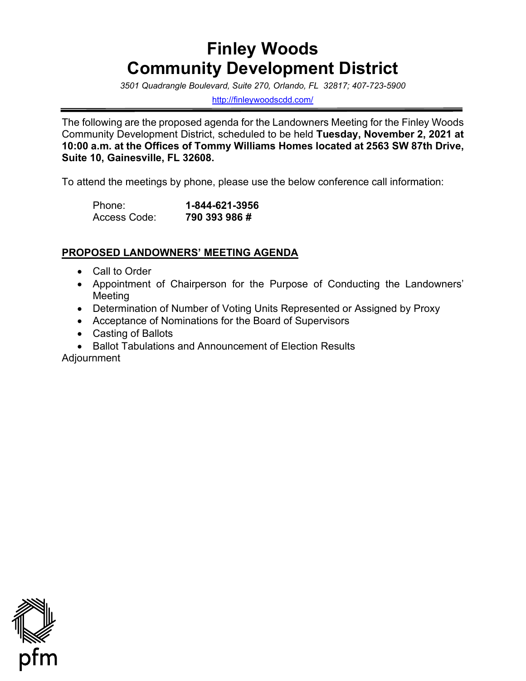# **Finley Woods Community Development District**

 *3501 Quadrangle Boulevard, Suite 270, Orlando, FL 32817; 407-723-5900* 

<http://finleywoodscdd.com/>

 **10:00 a.m. at the Offices of Tommy Williams Homes located at 2563 SW 87th Drive,**  The following are the proposed agenda for the Landowners Meeting for the Finley Woods Community Development District, scheduled to be held **Tuesday, November 2, 2021 at Suite 10, Gainesville, FL 32608.** 

To attend the meetings by phone, please use the below conference call information:

| Phone:       | 1-844-621-3956 |
|--------------|----------------|
| Access Code: | 790 393 986 #  |

## **PROPOSED LANDOWNERS' MEETING AGENDA**

- Call to Order
- Appointment of Chairperson for the Purpose of Conducting the Landowners' Meeting
- Determination of Number of Voting Units Represented or Assigned by Proxy
- Acceptance of Nominations for the Board of Supervisors
- Casting of Ballots
- Ballot Tabulations and Announcement of Election Results

Adjournment

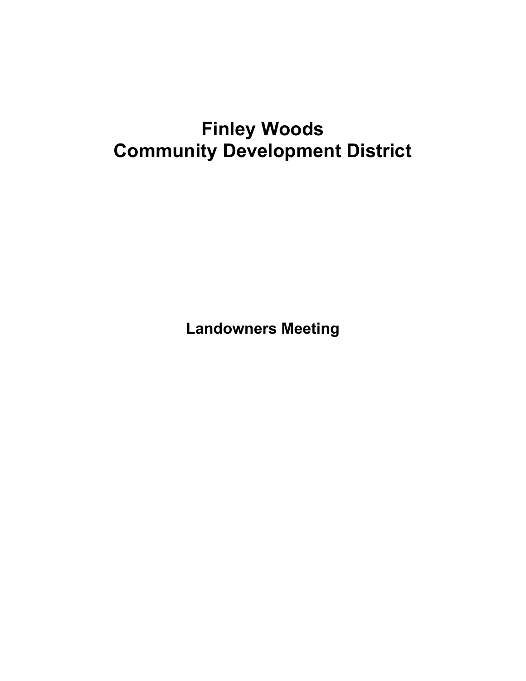# **Finley Woods Community Development District**

**Landowners Meeting**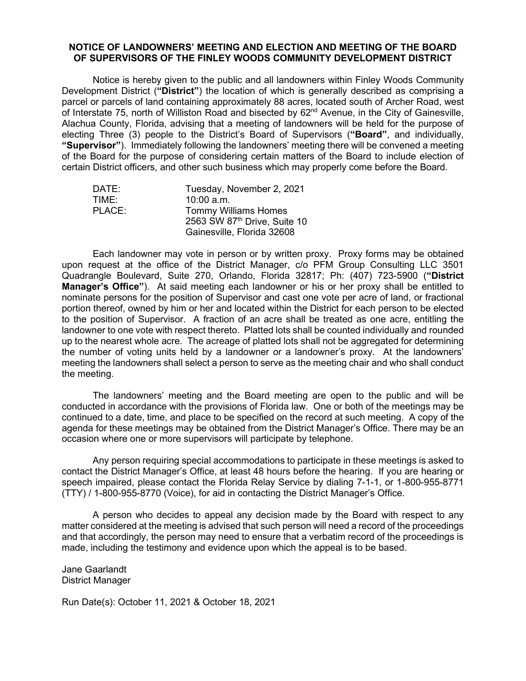### **NOTICE OF LANDOWNERS' MEETING AND ELECTION AND MEETING OF THE BOARD OF SUPERVISORS OF THE FINLEY WOODS COMMUNITY DEVELOPMENT DISTRICT**

 Development District (**"District"**) the location of which is generally described as comprising a parcel or parcels of land containing approximately 88 acres, located south of Archer Road, west of Interstate 75, north of Williston Road and bisected by 62<sup>nd</sup> Avenue, in the City of Gainesville, of the Board for the purpose of considering certain matters of the Board to include election of certain District officers, and other such business which may properly come before the Board. Notice is hereby given to the public and all landowners within Finley Woods Community Alachua County, Florida, advising that a meeting of landowners will be held for the purpose of electing Three (3) people to the District's Board of Supervisors (**"Board"**, and individually, **"Supervisor"**). Immediately following the landowners' meeting there will be convened a meeting

| DATE:  | Tuesday, November 2, 2021    |
|--------|------------------------------|
| TIME:  | $10:00$ a.m.                 |
| PLACE: | <b>Tommy Williams Homes</b>  |
|        | 2563 SW 87th Drive, Suite 10 |
|        | Gainesville, Florida 32608   |

 Each landowner may vote in person or by written proxy. Proxy forms may be obtained upon request at the office of the District Manager, c/o PFM Group Consulting LLC 3501 nominate persons for the position of Supervisor and cast one vote per acre of land, or fractional portion thereof, owned by him or her and located within the District for each person to be elected landowner to one vote with respect thereto. Platted lots shall be counted individually and rounded the number of voting units held by a landowner or a landowner's proxy. At the landowners' Quadrangle Boulevard, Suite 270, Orlando, Florida 32817; Ph: (407) 723-5900 (**"District Manager's Office"**). At said meeting each landowner or his or her proxy shall be entitled to to the position of Supervisor. A fraction of an acre shall be treated as one acre, entitling the up to the nearest whole acre. The acreage of platted lots shall not be aggregated for determining meeting the landowners shall select a person to serve as the meeting chair and who shall conduct the meeting.

 conducted in accordance with the provisions of Florida law. One or both of the meetings may be continued to a date, time, and place to be specified on the record at such meeting. A copy of the agenda for these meetings may be obtained from the District Manager's Office. There may be an occasion where one or more supervisors will participate by telephone. The landowners' meeting and the Board meeting are open to the public and will be

occasion where one or more supervisors will participate by telephone.<br>Any person requiring special accommodations to participate in these meetings is asked to contact the District Manager's Office, at least 48 hours before the hearing. If you are hearing or (TTY) / 1-800-955-8770 (Voice), for aid in contacting the District Manager's Office. speech impaired, please contact the Florida Relay Service by dialing 7-1-1, or 1-800-955-8771

 matter considered at the meeting is advised that such person will need a record of the proceedings and that accordingly, the person may need to ensure that a verbatim record of the proceedings is A person who decides to appeal any decision made by the Board with respect to any made, including the testimony and evidence upon which the appeal is to be based.

Jane Gaarlandt District Manager

Run Date(s): October 11, 2021 & October 18, 2021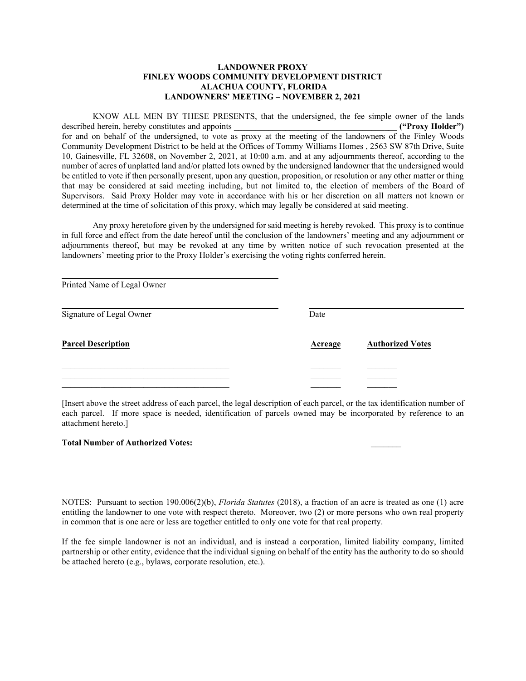#### **ALACHUA COUNTY, FLORIDA LANDOWNER PROXY FINLEY WOODS COMMUNITY DEVELOPMENT DISTRICT LANDOWNERS' MEETING – NOVEMBER 2, 2021**

 number of acres of unplatted land and/or platted lots owned by the undersigned landowner that the undersigned would be entitled to vote if then personally present, upon any question, proposition, or resolution or any other matter or thing Supervisors. Said Proxy Holder may vote in accordance with his or her discretion on all matters not known or determined at the time of solicitation of this proxy, which may legally be considered at said meeting. KNOW ALL MEN BY THESE PRESENTS, that the undersigned, the fee simple owner of the lands described herein, hereby constitutes and appoints **and appoints ("Proxy Holder") ("Proxy Holder")** for and on behalf of the undersigned, to vote as proxy at the meeting of the landowners of the Finley Woods Community Development District to be held at the Offices of Tommy Williams Homes , 2563 SW 87th Drive, Suite 10, Gainesville, FL 32608, on November 2, 2021, at 10:00 a.m. and at any adjournments thereof, according to the that may be considered at said meeting including, but not limited to, the election of members of the Board of

 determined at the time of solicitation of this proxy, which may legally be considered at said meeting. Any proxy heretofore given by the undersigned for said meeting is hereby revoked. This proxy is to continue in full force and effect from the date hereof until the conclusion of the landowners' meeting and any adjournment or adjournments thereof, but may be revoked at any time by written notice of such revocation presented at the landowners' meeting prior to the Proxy Holder's exercising the voting rights conferred herein.

| Printed Name of Legal Owner |                |                         |
|-----------------------------|----------------|-------------------------|
| Signature of Legal Owner    | Date           |                         |
| <b>Parcel Description</b>   | <b>Acreage</b> | <b>Authorized Votes</b> |
|                             |                |                         |
|                             |                |                         |
|                             |                |                         |

[Insert above the street address of each parcel, the legal description of each parcel, or the tax identification number of each parcel. If more space is needed, identification of parcels owned may be incorporated by reference to an attachment hereto.]

#### **Total Number of Authorized Votes: \_\_\_\_\_\_\_**

l

 in common that is one acre or less are together entitled to only one vote for that real property. NOTES: Pursuant to section 190.006(2)(b), *Florida Statutes* (2018), a fraction of an acre is treated as one (1) acre entitling the landowner to one vote with respect thereto. Moreover, two (2) or more persons who own real property

 If the fee simple landowner is not an individual, and is instead a corporation, limited liability company, limited partnership or other entity, evidence that the individual signing on behalf of the entity has the authority to do so should be attached hereto (e.g., bylaws, corporate resolution, etc.).